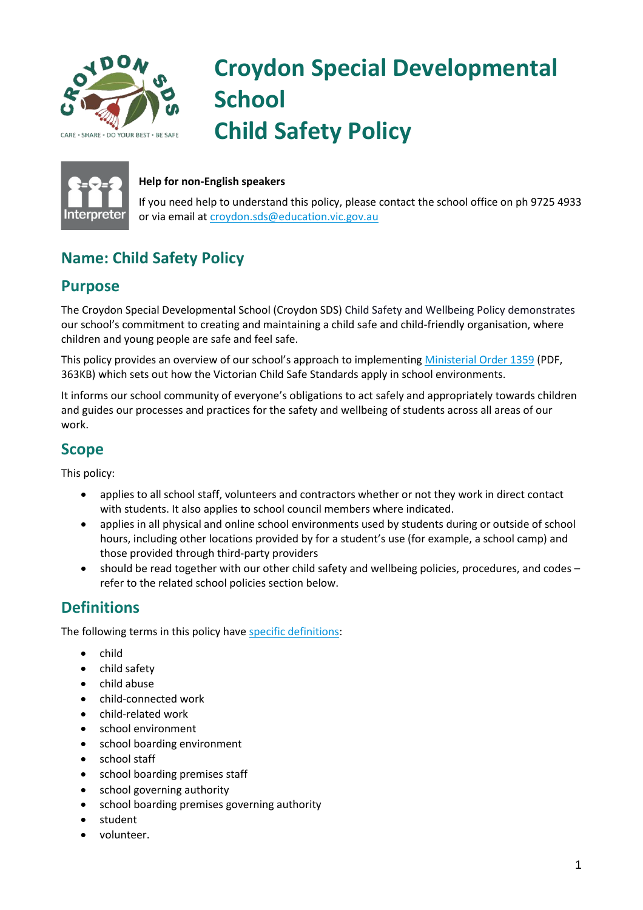

# **Croydon Special Developmental School Child Safety Policy**



#### **Help for non-English speakers**

If you need help to understand this policy, please contact the school office on ph 9725 4933 or via email at [croydon.sds@education.vic.gov.au](mailto:croydon.sds@education.vic.gov.au)

# **Name: Child Safety Policy**

### **Purpose**

The Croydon Special Developmental School (Croydon SDS) Child Safety and Wellbeing Policy demonstrates our school's commitment to creating and maintaining a child safe and child-friendly organisation, where children and young people are safe and feel safe.

This policy provides an overview of our school's approach to implementing [Ministerial Order 1359](https://www.education.vic.gov.au/Documents/about/programs/health/protect/Ministerial_Order.pdf) (PDF, 363KB) which sets out how the Victorian Child Safe Standards apply in school environments.

It informs our school community of everyone's obligations to act safely and appropriately towards children and guides our processes and practices for the safety and wellbeing of students across all areas of our work.

### **Scope**

This policy:

- applies to all school staff, volunteers and contractors whether or not they work in direct contact with students. It also applies to school council members where indicated.
- applies in all physical and online school environments used by students during or outside of school hours, including other locations provided by for a student's use (for example, a school camp) and those provided through third-party providers
- should be read together with our other child safety and wellbeing policies, procedures, and codes refer to the related school policies section below.

### **Definitions**

The following terms in this policy hav[e specific definitions:](https://www.vic.gov.au/child-safe-standards-definitions)

- child
- child safety
- child abuse
- child-connected work
- child-related work
- school environment
- school boarding environment
- school staff
- school boarding premises staff
- school governing authority
- school boarding premises governing authority
- student
- volunteer.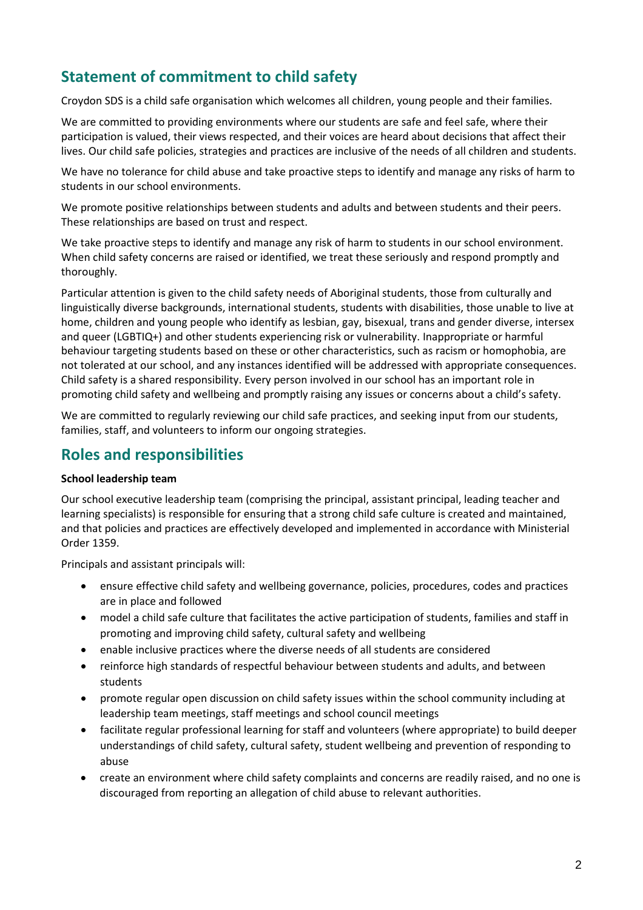# **Statement of commitment to child safety**

Croydon SDS is a child safe organisation which welcomes all children, young people and their families.

We are committed to providing environments where our students are safe and feel safe, where their participation is valued, their views respected, and their voices are heard about decisions that affect their lives. Our child safe policies, strategies and practices are inclusive of the needs of all children and students.

We have no tolerance for child abuse and take proactive steps to identify and manage any risks of harm to students in our school environments.

We promote positive relationships between students and adults and between students and their peers. These relationships are based on trust and respect.

We take proactive steps to identify and manage any risk of harm to students in our school environment. When child safety concerns are raised or identified, we treat these seriously and respond promptly and thoroughly.

Particular attention is given to the child safety needs of Aboriginal students, those from culturally and linguistically diverse backgrounds, international students, students with disabilities, those unable to live at home, children and young people who identify as lesbian, gay, bisexual, trans and gender diverse, intersex and queer (LGBTIQ+) and other students experiencing risk or vulnerability. Inappropriate or harmful behaviour targeting students based on these or other characteristics, such as racism or homophobia, are not tolerated at our school, and any instances identified will be addressed with appropriate consequences. Child safety is a shared responsibility. Every person involved in our school has an important role in promoting child safety and wellbeing and promptly raising any issues or concerns about a child's safety.

We are committed to regularly reviewing our child safe practices, and seeking input from our students, families, staff, and volunteers to inform our ongoing strategies.

### **Roles and responsibilities**

#### **School leadership team**

Our school executive leadership team (comprising the principal, assistant principal, leading teacher and learning specialists) is responsible for ensuring that a strong child safe culture is created and maintained, and that policies and practices are effectively developed and implemented in accordance with Ministerial Order 1359.

Principals and assistant principals will:

- ensure effective child safety and wellbeing governance, policies, procedures, codes and practices are in place and followed
- model a child safe culture that facilitates the active participation of students, families and staff in promoting and improving child safety, cultural safety and wellbeing
- enable inclusive practices where the diverse needs of all students are considered
- reinforce high standards of respectful behaviour between students and adults, and between students
- promote regular open discussion on child safety issues within the school community including at leadership team meetings, staff meetings and school council meetings
- facilitate regular professional learning for staff and volunteers (where appropriate) to build deeper understandings of child safety, cultural safety, student wellbeing and prevention of responding to abuse
- create an environment where child safety complaints and concerns are readily raised, and no one is discouraged from reporting an allegation of child abuse to relevant authorities.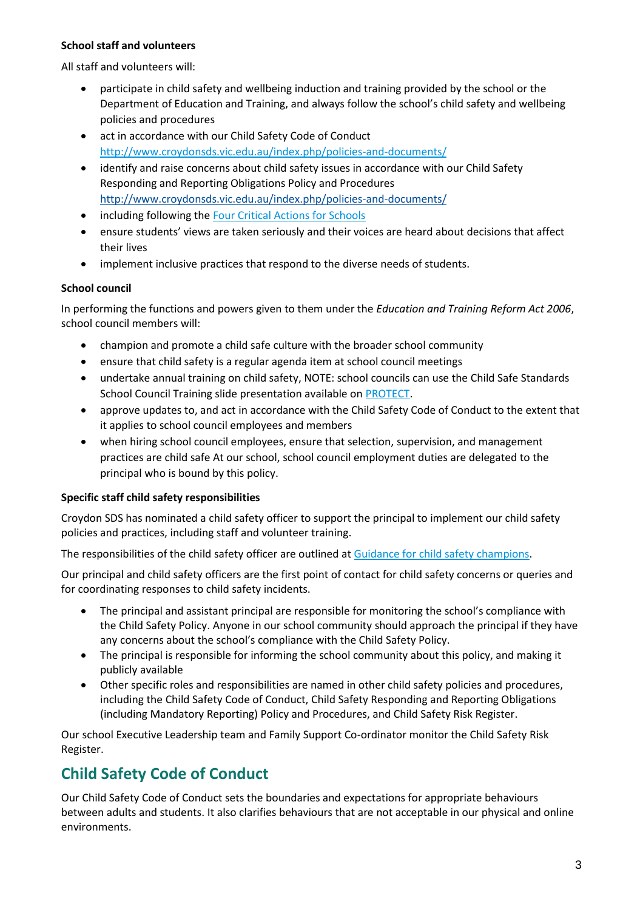#### **School staff and volunteers**

All staff and volunteers will:

- participate in child safety and wellbeing induction and training provided by the school or the Department of Education and Training, and always follow the school's child safety and wellbeing policies and procedures
- act in accordance with our Child Safety Code of Conduct <http://www.croydonsds.vic.edu.au/index.php/policies-and-documents/>
- identify and raise concerns about child safety issues in accordance with our Child Safety Responding and Reporting Obligations Policy and Procedures <http://www.croydonsds.vic.edu.au/index.php/policies-and-documents/>
- including following the [Four Critical Actions for Schools](https://www.education.vic.gov.au/school/teachers/health/childprotection/Pages/report.aspx)
- ensure students' views are taken seriously and their voices are heard about decisions that affect their lives
- implement inclusive practices that respond to the diverse needs of students.

#### **School council**

In performing the functions and powers given to them under the *Education and Training Reform Act 2006*, school council members will:

- champion and promote a child safe culture with the broader school community
- ensure that child safety is a regular agenda item at school council meetings
- undertake annual training on child safety, NOTE: school councils can use the Child Safe Standards School Council Training slide presentation available on [PROTECT.](http://www.vic.gov.au/protect)
- approve updates to, and act in accordance with the Child Safety Code of Conduct to the extent that it applies to school council employees and members
- when hiring school council employees, ensure that selection, supervision, and management practices are child safe At our school, school council employment duties are delegated to the principal who is bound by this policy.

#### **Specific staff child safety responsibilities**

Croydon SDS has nominated a child safety officer to support the principal to implement our child safety policies and practices, including staff and volunteer training.

The responsibilities of the child safety officer are outlined a[t Guidance for child safety champions.](https://www.vic.gov.au/guidance-child-safety-champions)

Our principal and child safety officers are the first point of contact for child safety concerns or queries and for coordinating responses to child safety incidents.

- The principal and assistant principal are responsible for monitoring the school's compliance with the Child Safety Policy. Anyone in our school community should approach the principal if they have any concerns about the school's compliance with the Child Safety Policy.
- The principal is responsible for informing the school community about this policy, and making it publicly available
- Other specific roles and responsibilities are named in other child safety policies and procedures, including the Child Safety Code of Conduct, Child Safety Responding and Reporting Obligations (including Mandatory Reporting) Policy and Procedures, and Child Safety Risk Register.

Our school Executive Leadership team and Family Support Co-ordinator monitor the Child Safety Risk Register.

# **Child Safety Code of Conduct**

Our Child Safety Code of Conduct sets the boundaries and expectations for appropriate behaviours between adults and students. It also clarifies behaviours that are not acceptable in our physical and online environments.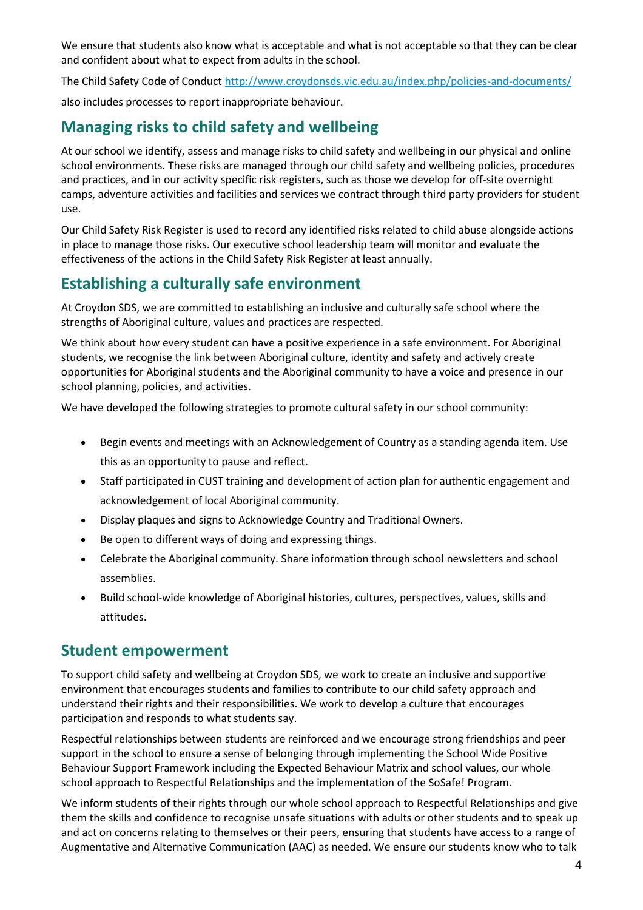We ensure that students also know what is acceptable and what is not acceptable so that they can be clear and confident about what to expect from adults in the school.

The Child Safety Code of Conduct <http://www.croydonsds.vic.edu.au/index.php/policies-and-documents/>

also includes processes to report inappropriate behaviour.

### **Managing risks to child safety and wellbeing**

At our school we identify, assess and manage risks to child safety and wellbeing in our physical and online school environments. These risks are managed through our child safety and wellbeing policies, procedures and practices, and in our activity specific risk registers, such as those we develop for off-site overnight camps, adventure activities and facilities and services we contract through third party providers for student use.

Our Child Safety Risk Register is used to record any identified risks related to child abuse alongside actions in place to manage those risks. Our executive school leadership team will monitor and evaluate the effectiveness of the actions in the Child Safety Risk Register at least annually.

### **Establishing a culturally safe environment**

At Croydon SDS, we are committed to establishing an inclusive and culturally safe school where the strengths of Aboriginal culture, values and practices are respected.

We think about how every student can have a positive experience in a safe environment. For Aboriginal students, we recognise the link between Aboriginal culture, identity and safety and actively create opportunities for Aboriginal students and the Aboriginal community to have a voice and presence in our school planning, policies, and activities.

We have developed the following strategies to promote cultural safety in our school community:

- Begin events and meetings with an Acknowledgement of Country as a standing agenda item. Use this as an opportunity to pause and reflect.
- Staff participated in CUST training and development of action plan for authentic engagement and acknowledgement of local Aboriginal community.
- Display plaques and signs to Acknowledge Country and Traditional Owners.
- Be open to different ways of doing and expressing things.
- Celebrate the Aboriginal community. Share information through school newsletters and school assemblies.
- Build school-wide knowledge of Aboriginal histories, cultures, perspectives, values, skills and attitudes.

### **Student empowerment**

To support child safety and wellbeing at Croydon SDS, we work to create an inclusive and supportive environment that encourages students and families to contribute to our child safety approach and understand their rights and their responsibilities. We work to develop a culture that encourages participation and responds to what students say.

Respectful relationships between students are reinforced and we encourage strong friendships and peer support in the school to ensure a sense of belonging through implementing the School Wide Positive Behaviour Support Framework including the Expected Behaviour Matrix and school values, our whole school approach to Respectful Relationships and the implementation of the SoSafe! Program.

We inform students of their rights through our whole school approach to Respectful Relationships and give them the skills and confidence to recognise unsafe situations with adults or other students and to speak up and act on concerns relating to themselves or their peers, ensuring that students have access to a range of Augmentative and Alternative Communication (AAC) as needed. We ensure our students know who to talk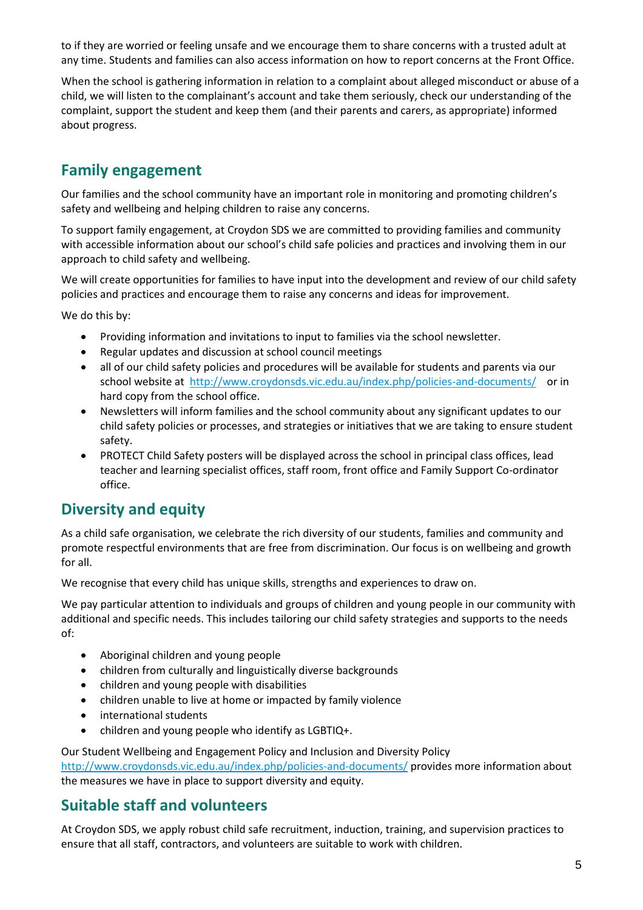to if they are worried or feeling unsafe and we encourage them to share concerns with a trusted adult at any time. Students and families can also access information on how to report concerns at the Front Office.

When the school is gathering information in relation to a complaint about alleged misconduct or abuse of a child, we will listen to the complainant's account and take them seriously, check our understanding of the complaint, support the student and keep them (and their parents and carers, as appropriate) informed about progress.

### **Family engagement**

Our families and the school community have an important role in monitoring and promoting children's safety and wellbeing and helping children to raise any concerns.

To support family engagement, at Croydon SDS we are committed to providing families and community with accessible information about our school's child safe policies and practices and involving them in our approach to child safety and wellbeing.

We will create opportunities for families to have input into the development and review of our child safety policies and practices and encourage them to raise any concerns and ideas for improvement.

We do this by:

- Providing information and invitations to input to families via the school newsletter.
- Regular updates and discussion at school council meetings
- all of our child safety policies and procedures will be available for students and parents via our school website at <http://www.croydonsds.vic.edu.au/index.php/policies-and-documents/>or in hard copy from the school office.
- Newsletters will inform families and the school community about any significant updates to our child safety policies or processes, and strategies or initiatives that we are taking to ensure student safety.
- PROTECT Child Safety posters will be displayed across the school in principal class offices, lead teacher and learning specialist offices, staff room, front office and Family Support Co-ordinator office.

### **Diversity and equity**

As a child safe organisation, we celebrate the rich diversity of our students, families and community and promote respectful environments that are free from discrimination. Our focus is on wellbeing and growth for all.

We recognise that every child has unique skills, strengths and experiences to draw on.

We pay particular attention to individuals and groups of children and young people in our community with additional and specific needs. This includes tailoring our child safety strategies and supports to the needs of:

- Aboriginal children and young people
- children from culturally and linguistically diverse backgrounds
- children and young people with disabilities
- children unable to live at home or impacted by family violence
- international students
- children and young people who identify as LGBTIQ+.

Our Student Wellbeing and Engagement Policy and Inclusion and Diversity Policy <http://www.croydonsds.vic.edu.au/index.php/policies-and-documents/> provides more information about the measures we have in place to support diversity and equity.

### **Suitable staff and volunteers**

At Croydon SDS, we apply robust child safe recruitment, induction, training, and supervision practices to ensure that all staff, contractors, and volunteers are suitable to work with children.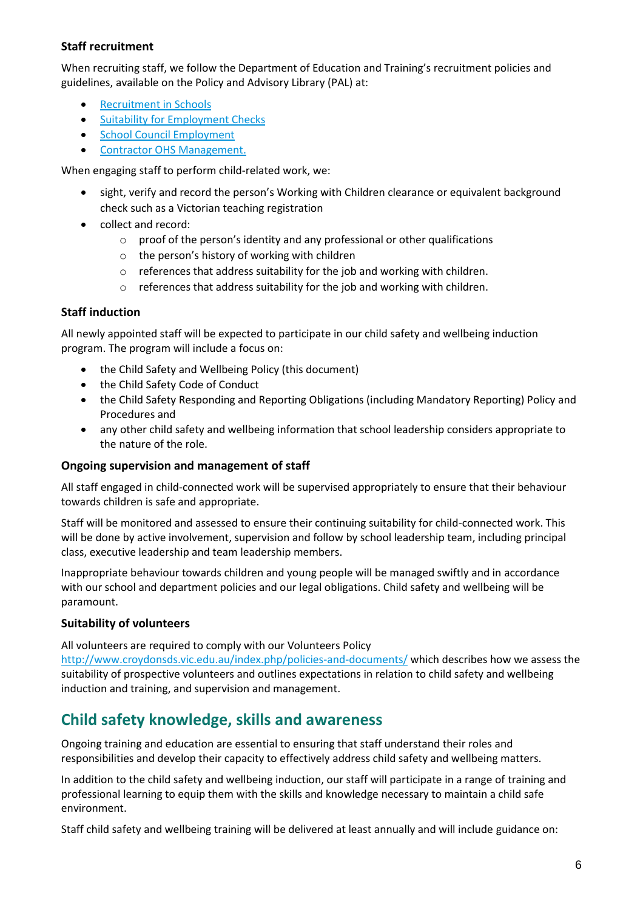#### **Staff recruitment**

When recruiting staff, we follow the Department of Education and Training's recruitment policies and guidelines, available on the Policy and Advisory Library (PAL) at:

- [Recruitment in Schools](https://www2.education.vic.gov.au/pal/recruitment-schools/overview)
- [Suitability for Employment Checks](https://www2.education.vic.gov.au/pal/suitability-employment-checks/overview)
- [School Council Employment](https://www2.education.vic.gov.au/pal/school-council-employment/overview)
- [Contractor OHS Management.](https://www2.education.vic.gov.au/pal/contractor-ohs-management/policy)

When engaging staff to perform child-related work, we:

- sight, verify and record the person's Working with Children clearance or equivalent background check such as a Victorian teaching registration
- collect and record:
	- o proof of the person's identity and any professional or other qualifications
	- o the person's history of working with children
	- o references that address suitability for the job and working with children.
	- o references that address suitability for the job and working with children.

#### **Staff induction**

All newly appointed staff will be expected to participate in our child safety and wellbeing induction program. The program will include a focus on:

- the Child Safety and Wellbeing Policy (this document)
- the Child Safety Code of Conduct
- the Child Safety Responding and Reporting Obligations (including Mandatory Reporting) Policy and Procedures and
- any other child safety and wellbeing information that school leadership considers appropriate to the nature of the role.

#### **Ongoing supervision and management of staff**

All staff engaged in child-connected work will be supervised appropriately to ensure that their behaviour towards children is safe and appropriate.

Staff will be monitored and assessed to ensure their continuing suitability for child-connected work. This will be done by active involvement, supervision and follow by school leadership team, including principal class, executive leadership and team leadership members.

Inappropriate behaviour towards children and young people will be managed swiftly and in accordance with our school and department policies and our legal obligations. Child safety and wellbeing will be paramount.

#### **Suitability of volunteers**

All volunteers are required to comply with our Volunteers Policy

<http://www.croydonsds.vic.edu.au/index.php/policies-and-documents/> which describes how we assess the suitability of prospective volunteers and outlines expectations in relation to child safety and wellbeing induction and training, and supervision and management.

### **Child safety knowledge, skills and awareness**

Ongoing training and education are essential to ensuring that staff understand their roles and responsibilities and develop their capacity to effectively address child safety and wellbeing matters.

In addition to the child safety and wellbeing induction, our staff will participate in a range of training and professional learning to equip them with the skills and knowledge necessary to maintain a child safe environment.

Staff child safety and wellbeing training will be delivered at least annually and will include guidance on: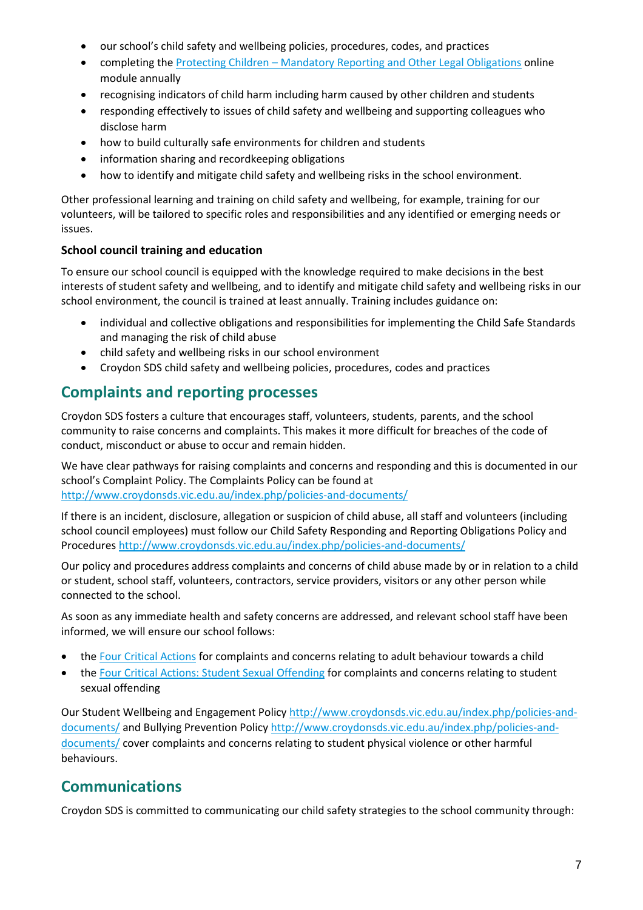- our school's child safety and wellbeing policies, procedures, codes, and practices
- completing the Protecting Children [Mandatory Reporting and Other Legal Obligations](http://elearn.com.au/det/protectingchildren/) online module annually
- recognising indicators of child harm including harm caused by other children and students
- responding effectively to issues of child safety and wellbeing and supporting colleagues who disclose harm
- how to build culturally safe environments for children and students
- information sharing and recordkeeping obligations
- how to identify and mitigate child safety and wellbeing risks in the school environment.

Other professional learning and training on child safety and wellbeing, for example, training for our volunteers, will be tailored to specific roles and responsibilities and any identified or emerging needs or issues.

#### **School council training and education**

To ensure our school council is equipped with the knowledge required to make decisions in the best interests of student safety and wellbeing, and to identify and mitigate child safety and wellbeing risks in our school environment, the council is trained at least annually. Training includes guidance on:

- individual and collective obligations and responsibilities for implementing the Child Safe Standards and managing the risk of child abuse
- child safety and wellbeing risks in our school environment
- Croydon SDS child safety and wellbeing policies, procedures, codes and practices

# **Complaints and reporting processes**

Croydon SDS fosters a culture that encourages staff, volunteers, students, parents, and the school community to raise concerns and complaints. This makes it more difficult for breaches of the code of conduct, misconduct or abuse to occur and remain hidden.

We have clear pathways for raising complaints and concerns and responding and this is documented in our school's Complaint Policy. The Complaints Policy can be found at <http://www.croydonsds.vic.edu.au/index.php/policies-and-documents/>

If there is an incident, disclosure, allegation or suspicion of child abuse, all staff and volunteers (including school council employees) must follow our Child Safety Responding and Reporting Obligations Policy and Procedures <http://www.croydonsds.vic.edu.au/index.php/policies-and-documents/>

Our policy and procedures address complaints and concerns of child abuse made by or in relation to a child or student, school staff, volunteers, contractors, service providers, visitors or any other person while connected to the school.

As soon as any immediate health and safety concerns are addressed, and relevant school staff have been informed, we will ensure our school follows:

- the [Four Critical Actions](https://www.education.vic.gov.au/Documents/about/programs/health/protect/FourCriticalActions_ChildAbuse.pdf) for complaints and concerns relating to adult behaviour towards a child
- the [Four Critical Actions: Student Sexual Offending](https://www.education.vic.gov.au/school/teachers/health/childprotection/Pages/stusexual.aspx) for complaints and concerns relating to student sexual offending

Our Student Wellbeing and Engagement Policy [http://www.croydonsds.vic.edu.au/index.php/policies-and](http://www.croydonsds.vic.edu.au/index.php/policies-and-documents/)[documents/](http://www.croydonsds.vic.edu.au/index.php/policies-and-documents/) and Bullying Prevention Polic[y http://www.croydonsds.vic.edu.au/index.php/policies-and](http://www.croydonsds.vic.edu.au/index.php/policies-and-documents/)[documents/](http://www.croydonsds.vic.edu.au/index.php/policies-and-documents/) cover complaints and concerns relating to student physical violence or other harmful behaviours.

# **Communications**

Croydon SDS is committed to communicating our child safety strategies to the school community through: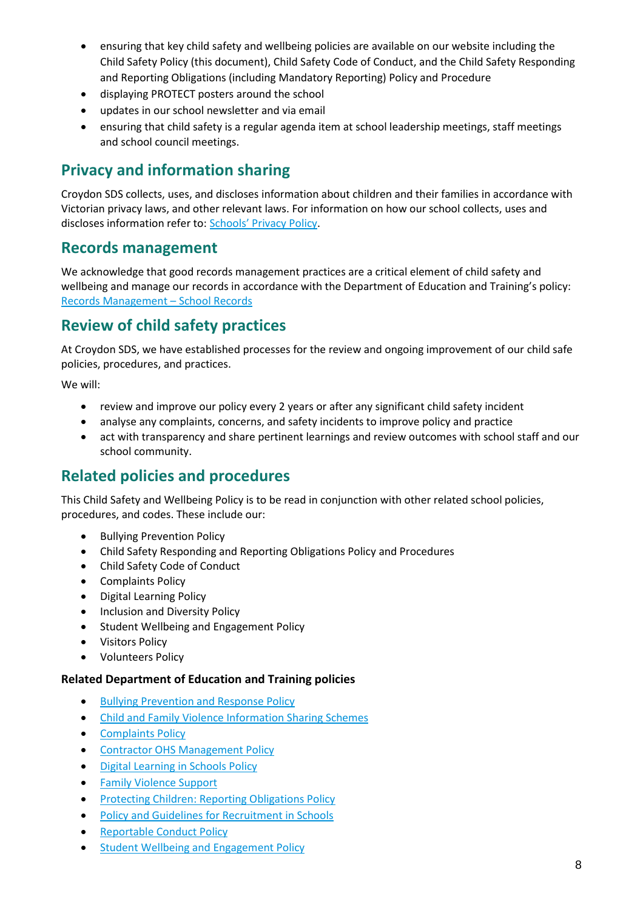- ensuring that key child safety and wellbeing policies are available on our website including the Child Safety Policy (this document), Child Safety Code of Conduct, and the Child Safety Responding and Reporting Obligations (including Mandatory Reporting) Policy and Procedure
- displaying PROTECT posters around the school
- updates in our school newsletter and via email
- ensuring that child safety is a regular agenda item at school leadership meetings, staff meetings and school council meetings.

### **Privacy and information sharing**

Croydon SDS collects, uses, and discloses information about children and their families in accordance with Victorian privacy laws, and other relevant laws. For information on how our school collects, uses and discloses information refer to: [Schools' Privacy Policy](https://www.education.vic.gov.au/Pages/schoolsprivacypolicy.aspx).

### **Records management**

We acknowledge that good records management practices are a critical element of child safety and wellbeing and manage our records in accordance with the Department of Education and Training's policy: [Records Management](https://www2.education.vic.gov.au/pal/records-management/policy) – School Records

### **Review of child safety practices**

At Croydon SDS, we have established processes for the review and ongoing improvement of our child safe policies, procedures, and practices.

We will:

- review and improve our policy every 2 years or after any significant child safety incident
- analyse any complaints, concerns, and safety incidents to improve policy and practice
- act with transparency and share pertinent learnings and review outcomes with school staff and our school community.

### **Related policies and procedures**

This Child Safety and Wellbeing Policy is to be read in conjunction with other related school policies, procedures, and codes. These include our:

- Bullying Prevention Policy
- Child Safety Responding and Reporting Obligations Policy and Procedures
- Child Safety Code of Conduct
- Complaints Policy
- Digital Learning Policy
- Inclusion and Diversity Policy
- Student Wellbeing and Engagement Policy
- Visitors Policy
- Volunteers Policy

#### **Related Department of Education and Training policies**

- [Bullying Prevention and Response Policy](https://www2.education.vic.gov.au/pal/bullying-prevention-response/policy)
- [Child and Family Violence Information Sharing Schemes](https://www2.education.vic.gov.au/pal/information-sharing-schemes/policy)
- [Complaints Policy](https://www2.education.vic.gov.au/pal/complaints/policy)
- [Contractor OHS Management Policy](https://www2.education.vic.gov.au/pal/contractor-ohs-management/policy)
- [Digital Learning in Schools Policy](https://www2.education.vic.gov.au/pal/digital-learning/policy)
- Family Violence Support
- [Protecting Children: Reporting Obligations Policy](https://www2.education.vic.gov.au/pal/protecting-children/policy)
- [Policy and Guidelines for Recruitment in Schools](https://www2.education.vic.gov.au/pal/recruitment-schools/policy-and-guidelines)
- [Reportable Conduct Policy](https://www2.education.vic.gov.au/pal/reportable-conduct-scheme/policy)
- Student [Wellbeing and Engagement Policy](https://www2.education.vic.gov.au/pal/student-engagement/policy)